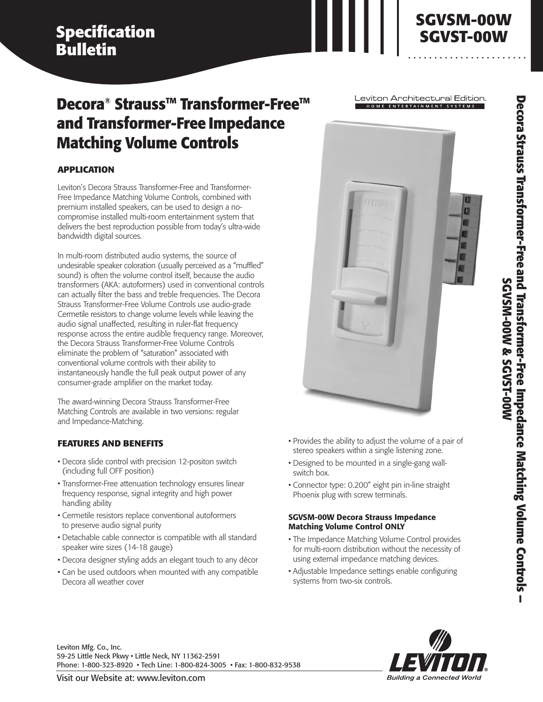# **Specification Bulletin**

# **Decora®** Strauss<sup>™</sup> Transformer-Free<sup>™</sup> **and Transformer-Free Impedance Matching Volume Controls**

## **APPLICATION**

Leviton's Decora Strauss Transformer-Free and Transformer-Free Impedance Matching Volume Controls, combined with premium installed speakers, can be used to design a nocompromise installed multi-room entertainment system that delivers the best reproduction possible from today's ultra-wide bandwidth digital sources.

In multi-room distributed audio systems, the source of undesirable speaker coloration (usually perceived as a "muffled" sound) is often the volume control itself, because the audio transformers (AKA: autoformers) used in conventional controls can actually filter the bass and treble frequencies. The Decora Strauss Transformer-Free Volume Controls use audio-grade Cermetile resistors to change volume levels while leaving the audio signal unaffected, resulting in ruler-flat frequency response across the entire audible frequency range. Moreover, the Decora Strauss Transformer-Free Volume Controls eliminate the problem of "saturation" associated with conventional volume controls with their ability to instantaneously handle the full peak output power of any consumer-grade amplifier on the market today.

The award-winning Decora Strauss Transformer-Free Matching Controls are available in two versions: regular and Impedance-Matching.

## **FEATURES AND BENEFITS**

- Decora slide control with precision 12-positon switch (including full OFF position)
- Transformer-Free attenuation technology ensures linear frequency response, signal integrity and high power handling ability
- Cermetile resistors replace conventional autoformers to preserve audio signal purity
- Detachable cable connector is compatible with all standard speaker wire sizes (14-18 gauge)
- Decora designer styling adds an elegant touch to any décor
- Can be used outdoors when mounted with any compatible Decora all weather cover

Leviton Architectural Edition. .<br>HOME ENTERTAINMENT SYSTEMS

**SGVSM-00W SGVST-00W**



- Provides the ability to adjust the volume of a pair of stereo speakers within a single listening zone.
- Designed to be mounted in a single-gang wallswitch box.
- Connector type: 0.200" eight pin in-line straight Phoenix plug with screw terminals.

### **SGVSM-00W Decora Strauss Impedance Matching Volume Control ONLY**

- The Impedance Matching Volume Control provides for multi-room distribution without the necessity of using external impedance matching devices.
- Adjustable Impedance settings enable configuring systems from two-six controls.



Leviton Mfg. Co., Inc. 59-25 Little Neck Pkwy • Little Neck, NY 11362-2591 Phone: 1-800-323-8920 • Tech Line: 1-800-824-3005 • Fax: 1-800-832-9538